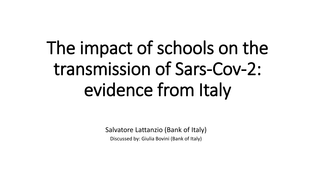# The impact of schools on the transmission of Sars-Cov-2: evidence from Italy

Salvatore Lattanzio (Bank of Italy)

Discussed by: Giulia Bovini (Bank of Italy)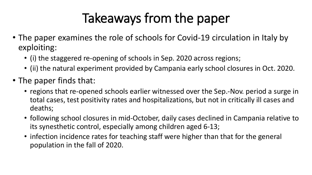## Takeaways from the paper

- The paper examines the role of schools for Covid-19 circulation in Italy by exploiting:
	- (i) the staggered re-opening of schools in Sep. 2020 across regions;
	- (ii) the natural experiment provided by Campania early school closures in Oct. 2020.
- The paper finds that:
	- regions that re-opened schools earlier witnessed over the Sep.-Nov. period a surge in total cases, test positivity rates and hospitalizations, but not in critically ill cases and deaths;
	- following school closures in mid-October, daily cases declined in Campania relative to its synesthetic control, especially among children aged 6-13;
	- infection incidence rates for teaching staff were higher than that for the general population in the fall of 2020.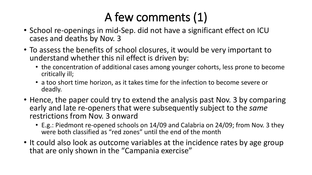## A few comments (1)

- School re-openings in mid-Sep. did not have a significant effect on ICU cases and deaths by Nov. 3
- To assess the benefits of school closures, it would be very important to understand whether this nil effect is driven by:
	- the concentration of additional cases among younger cohorts, less prone to become critically ill;
	- a too short time horizon, as it takes time for the infection to become severe or deadly.
- Hence, the paper could try to extend the analysis past Nov. 3 by comparing early and late re-openers that were subsequently subject to the *same* restrictions from Nov. 3 onward
	- E.g.: Piedmont re-opened schools on 14/09 and Calabria on 24/09; from Nov. 3 they were both classified as "red zones" until the end of the month
- It could also look as outcome variables at the incidence rates by age group that are only shown in the "Campania exercise"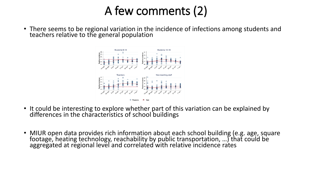#### A few comments (2)

• There seems to be regional variation in the incidence of infections among students and teachers relative to the general population



- It could be interesting to explore whether part of this variation can be explained by differences in the characteristics of school buildings
- MIUR open data provides rich information about each school building (e.g. age, square footage, heating technology, reachability by public transportation, …) that could be aggregated at regional level and correlated with relative incidence rates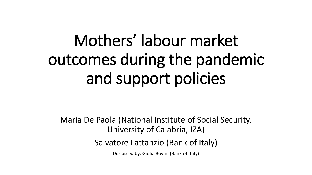# Mothers' labour market outcomes during the pandemic and support policies

Maria De Paola (National Institute of Social Security, University of Calabria, IZA) Salvatore Lattanzio (Bank of Italy)

Discussed by: Giulia Bovini (Bank of Italy)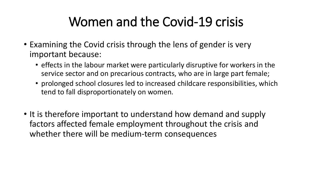## Women and the Covid-19 crisis

- Examining the Covid crisis through the lens of gender is very important because:
	- effects in the labour market were particularly disruptive for workers in the service sector and on precarious contracts, who are in large part female;
	- prolonged school closures led to increased childcare responsibilities, which tend to fall disproportionately on women.
- It is therefore important to understand how demand and supply factors affected female employment throughout the crisis and whether there will be medium-term consequences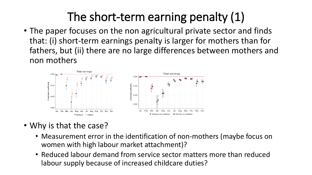## The short-term earning penalty (1)

• The paper focuses on the non agricultural private sector and finds that: (i) short-term earnings penalty is larger for mothers than for fathers, but (ii) there are no large differences between mothers and non mothers



- Why is that the case?
	- Measurement error in the identification of non-mothers (maybe focus on women with high labour market attachment)?
	- Reduced labour demand from service sector matters more than reduced labour supply because of increased childcare duties?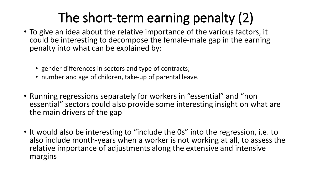## The short-term earning penalty (2)

- To give an idea about the relative importance of the various factors, it could be interesting to decompose the female-male gap in the earning penalty into what can be explained by:
	- gender differences in sectors and type of contracts;
	- number and age of children, take-up of parental leave.
- Running regressions separately for workers in "essential" and "non essential" sectors could also provide some interesting insight on what are the main drivers of the gap
- It would also be interesting to "include the 0s" into the regression, i.e. to also include month-years when a worker is not working at all, to assess the relative importance of adjustments along the extensive and intensive margins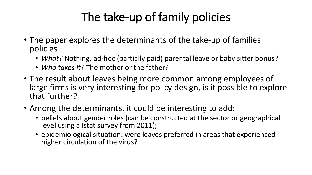## The take-up of family policies

- The paper explores the determinants of the take-up of families policies
	- *What?* Nothing, ad-hoc (partially paid) parental leave or baby sitter bonus?
	- *Who takes it?* The mother or the father?
- The result about leaves being more common among employees of large firms is very interesting for policy design, is it possible to explore that further?
- Among the determinants, it could be interesting to add:
	- beliefs about gender roles (can be constructed at the sector or geographical level using a Istat survey from 2011);
	- epidemiological situation: were leaves preferred in areas that experienced higher circulation of the virus?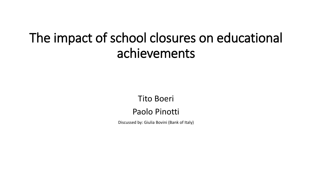## The impact of school closures on educational achievements

Tito Boeri

#### Paolo Pinotti

Discussed by: Giulia Bovini (Bank of Italy)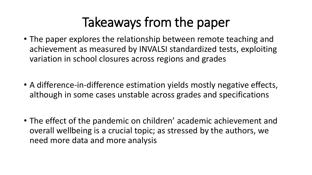## Takeaways from the paper

- The paper explores the relationship between remote teaching and achievement as measured by INVALSI standardized tests, exploiting variation in school closures across regions and grades
- A difference-in-difference estimation yields mostly negative effects, although in some cases unstable across grades and specifications
- The effect of the pandemic on children' academic achievement and overall wellbeing is a crucial topic; as stressed by the authors, we need more data and more analysis